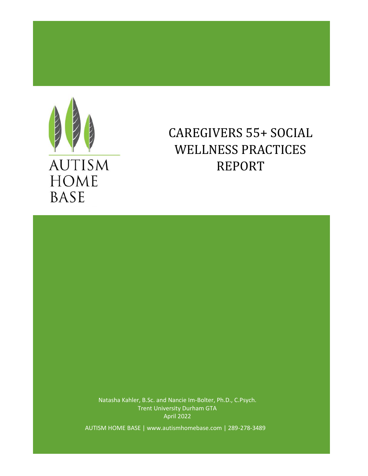

**AUTISM HOME BASE** 

# WELLNESS PRACTICES CAREGIVERS 55+ SOCIAL REPORT

Natasha Kahler, B.Sc. and Nancie Im-Bolter, Ph.D., C.Psych. Trent University Durham GTA April 2022

AUTISM HOME BASE | www.autismhomebase.com | 289-278-3489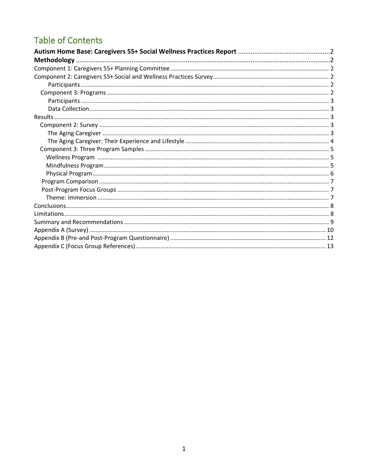## **Table of Contents**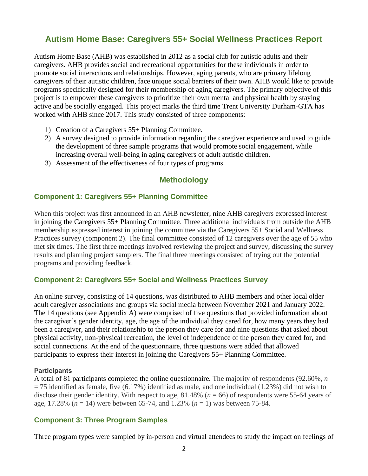## **Autism Home Base: Caregivers 55+ Social Wellness Practices Report**

Autism Home Base (AHB) was established in 2012 as a social club for autistic adults and their caregivers. AHB provides social and recreational opportunities for these individuals in order to promote social interactions and relationships. However, aging parents, who are primary lifelong caregivers of their autistic children, face unique social barriers of their own. AHB would like to provide programs specifically designed for their membership of aging caregivers. The primary objective of this project is to empower these caregivers to prioritize their own mental and physical health by staying active and be socially engaged. This project marks the third time Trent University Durham-GTA has worked with AHB since 2017. This study consisted of three components:

- 1) Creation of a Caregivers 55+ Planning Committee.
- 2) A survey designed to provide information regarding the caregiver experience and used to guide the development of three sample programs that would promote social engagement, while increasing overall well-being in aging caregivers of adult autistic children.
- 3) Assessment of the effectiveness of four types of programs.

#### **Methodology**

#### **Component 1: Caregivers 55+ Planning Committee**

When this project was first announced in an AHB newsletter, nine AHB caregivers expressed interest in joining the Caregivers 55+ Planning Committee. Three additional individuals from outside the AHB membership expressed interest in joining the committee via the Caregivers 55+ Social and Wellness Practices survey (component 2). The final committee consisted of 12 caregivers over the age of 55 who met six times. The first three meetings involved reviewing the project and survey, discussing the survey results and planning project samplers. The final three meetings consisted of trying out the potential programs and providing feedback.

#### **Component 2: Caregivers 55+ Social and Wellness Practices Survey**

An online survey, consisting of 14 questions, was distributed to AHB members and other local older adult caregiver associations and groups via social media between November 2021 and January 2022. The 14 questions (see Appendix A) were comprised of five questions that provided information about the caregiver's gender identity, age, the age of the individual they cared for, how many years they had been a caregiver, and their relationship to the person they care for and nine questions that asked about physical activity, non-physical recreation, the level of independence of the person they cared for, and social connections. At the end of the questionnaire, three questions were added that allowed participants to express their interest in joining the Caregivers 55+ Planning Committee.

#### **Participants**

A total of 81 participants completed the online questionnaire. The majority of respondents (92.60%, *n*   $= 75$  identified as female, five (6.17%) identified as male, and one individual (1.23%) did not wish to disclose their gender identity. With respect to age,  $81.48\%$  ( $n = 66$ ) of respondents were 55-64 years of age, 17.28% (*n* = 14) were between 65-74, and 1.23% (*n* = 1) was between 75-84.

#### **Component 3: Three Program Samples**

Three program types were sampled by in-person and virtual attendees to study the impact on feelings of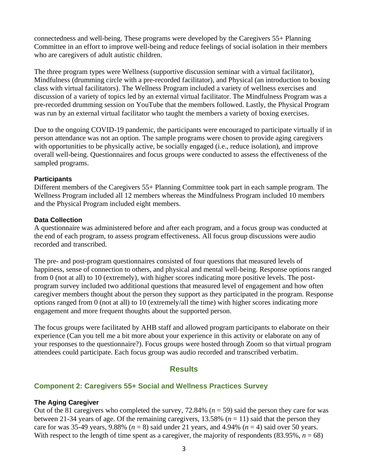connectedness and well-being. These programs were developed by the Caregivers 55+ Planning Committee in an effort to improve well-being and reduce feelings of social isolation in their members who are caregivers of adult autistic children.

The three program types were Wellness (supportive discussion seminar with a virtual facilitator), Mindfulness (drumming circle with a pre-recorded facilitator), and Physical (an introduction to boxing class with virtual facilitators). The Wellness Program included a variety of wellness exercises and discussion of a variety of topics led by an external virtual facilitator. The Mindfulness Program was a pre-recorded drumming session on YouTube that the members followed. Lastly, the Physical Program was run by an external virtual facilitator who taught the members a variety of boxing exercises.

Due to the ongoing COVID-19 pandemic, the participants were encouraged to participate virtually if in person attendance was not an option. The sample programs were chosen to provide aging caregivers with opportunities to be physically active, be socially engaged (i.e., reduce isolation), and improve overall well-being. Questionnaires and focus groups were conducted to assess the effectiveness of the sampled programs.

#### **Participants**

Different members of the Caregivers 55+ Planning Committee took part in each sample program. The Wellness Program included all 12 members whereas the Mindfulness Program included 10 members and the Physical Program included eight members.

#### **Data Collection**

A questionnaire was administered before and after each program, and a focus group was conducted at the end of each program, to assess program effectiveness. All focus group discussions were audio recorded and transcribed.

The pre- and post-program questionnaires consisted of four questions that measured levels of happiness, sense of connection to others, and physical and mental well-being. Response options ranged from 0 (not at all) to 10 (extremely), with higher scores indicating more positive levels. The postprogram survey included two additional questions that measured level of engagement and how often caregiver members thought about the person they support as they participated in the program. Response options ranged from 0 (not at all) to 10 (extremely/all the time) with higher scores indicating more engagement and more frequent thoughts about the supported person.

The focus groups were facilitated by AHB staff and allowed program participants to elaborate on their experience (Can you tell me a bit more about your experience in this activity or elaborate on any of your responses to the questionnaire?). Focus groups were hosted through Zoom so that virtual program attendees could participate. Each focus group was audio recorded and transcribed verbatim.

#### **Results**

#### **Component 2: Caregivers 55+ Social and Wellness Practices Survey**

#### **The Aging Caregiver**

Out of the 81 caregivers who completed the survey, 72.84% (*n* = 59) said the person they care for was between 21-34 years of age. Of the remaining caregivers,  $13.58\%$  ( $n = 11$ ) said that the person they care for was 35-49 years, 9.88% ( $n = 8$ ) said under 21 years, and 4.94% ( $n = 4$ ) said over 50 years. With respect to the length of time spent as a caregiver, the majority of respondents  $(83.95\%, n = 68)$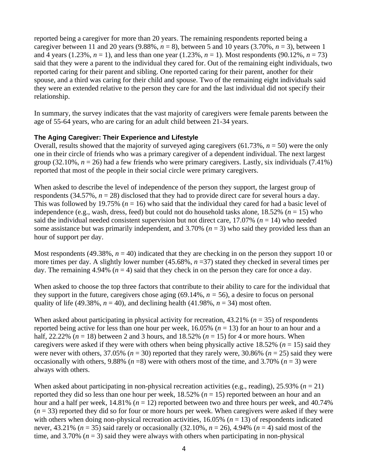reported being a caregiver for more than 20 years. The remaining respondents reported being a caregiver between 11 and 20 years  $(9.88\%, n = 8)$ , between 5 and 10 years  $(3.70\%, n = 3)$ , between 1 and 4 years (1.23%,  $n = 1$ ), and less than one year (1.23%,  $n = 1$ ). Most respondents (90.12%,  $n = 73$ ) said that they were a parent to the individual they cared for. Out of the remaining eight individuals, two reported caring for their parent and sibling. One reported caring for their parent, another for their spouse, and a third was caring for their child and spouse. Two of the remaining eight individuals said they were an extended relative to the person they care for and the last individual did not specify their relationship.

In summary, the survey indicates that the vast majority of caregivers were female parents between the age of 55-64 years, who are caring for an adult child between 21-34 years.

#### **The Aging Caregiver: Their Experience and Lifestyle**

Overall, results showed that the majority of surveyed aging caregivers  $(61.73\%, n = 50)$  were the only one in their circle of friends who was a primary caregiver of a dependent individual. The next largest group (32.10%,  $n = 26$ ) had a few friends who were primary caregivers. Lastly, six individuals (7.41%) reported that most of the people in their social circle were primary caregivers.

When asked to describe the level of independence of the person they support, the largest group of respondents (34.57%,  $n = 28$ ) disclosed that they had to provide direct care for several hours a day. This was followed by 19.75% (*n* = 16) who said that the individual they cared for had a basic level of independence (e.g., wash, dress, feed) but could not do household tasks alone,  $18.52\%$  ( $n = 15$ ) who said the individual needed consistent supervision but not direct care, 17.07% (*n* = 14) who needed some assistance but was primarily independent, and  $3.70\%$  ( $n = 3$ ) who said they provided less than an hour of support per day.

Most respondents (49.38%,  $n = 40$ ) indicated that they are checking in on the person they support 10 or more times per day. A slightly lower number (45.68%, *n* =37) stated they checked in several times per day. The remaining 4.94% ( $n = 4$ ) said that they check in on the person they care for once a day.

When asked to choose the top three factors that contribute to their ability to care for the individual that they support in the future, caregivers chose aging  $(69.14\%, n = 56)$ , a desire to focus on personal quality of life (49.38%,  $n = 40$ ), and declining health (41.98%,  $n = 34$ ) most often.

When asked about participating in physical activity for recreation, 43.21% (*n* = 35) of respondents reported being active for less than one hour per week,  $16.05\%$  ( $n = 13$ ) for an hour to an hour and a half, 22.22% ( $n = 18$ ) between 2 and 3 hours, and 18.52% ( $n = 15$ ) for 4 or more hours. When caregivers were asked if they were with others when being physically active 18.52% ( $n = 15$ ) said they were never with others,  $37.05\%$  ( $n = 30$ ) reported that they rarely were,  $30.86\%$  ( $n = 25$ ) said they were occasionally with others, 9.88% ( $n = 8$ ) were with others most of the time, and 3.70% ( $n = 3$ ) were always with others.

When asked about participating in non-physical recreation activities (e.g., reading),  $25.93\%$  ( $n = 21$ ) reported they did so less than one hour per week,  $18.52\%$  ( $n = 15$ ) reported between an hour and an hour and a half per week,  $14.81\%$  ( $n = 12$ ) reported between two and three hours per week, and 40.74%  $(n = 33)$  reported they did so for four or more hours per week. When caregivers were asked if they were with others when doing non-physical recreation activities,  $16.05\%$  ( $n = 13$ ) of respondents indicated never,  $43.21\%$  ( $n = 35$ ) said rarely or occasionally (32.10%,  $n = 26$ ),  $4.94\%$  ( $n = 4$ ) said most of the time, and 3.70%  $(n = 3)$  said they were always with others when participating in non-physical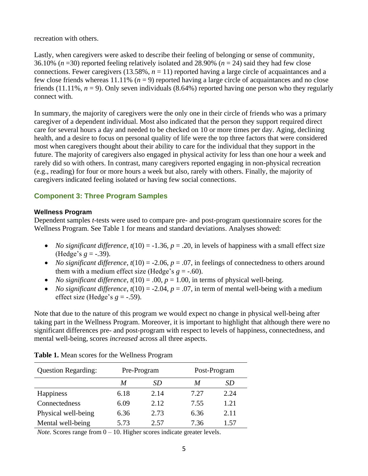recreation with others.

Lastly, when caregivers were asked to describe their feeling of belonging or sense of community, 36.10% (*n* =30) reported feeling relatively isolated and 28.90% (*n* = 24) said they had few close connections. Fewer caregivers  $(13.58\%, n = 11)$  reported having a large circle of acquaintances and a few close friends whereas  $11.11\%$  ( $n = 9$ ) reported having a large circle of acquaintances and no close friends  $(11.11\%, n = 9)$ . Only seven individuals  $(8.64\%)$  reported having one person who they regularly connect with.

In summary, the majority of caregivers were the only one in their circle of friends who was a primary caregiver of a dependent individual. Most also indicated that the person they support required direct care for several hours a day and needed to be checked on 10 or more times per day. Aging, declining health, and a desire to focus on personal quality of life were the top three factors that were considered most when caregivers thought about their ability to care for the individual that they support in the future. The majority of caregivers also engaged in physical activity for less than one hour a week and rarely did so with others. In contrast, many caregivers reported engaging in non-physical recreation (e.g., reading) for four or more hours a week but also, rarely with others. Finally, the majority of caregivers indicated feeling isolated or having few social connections.

### **Component 3: Three Program Samples**

#### **Wellness Program**

Dependent samples *t*-tests were used to compare pre- and post-program questionnaire scores for the Wellness Program. See Table 1 for means and standard deviations. Analyses showed:

- *No significant difference, t*(10) = -1.36,  $p = .20$ , in levels of happiness with a small effect size (Hedge's  $g = -.39$ ).
- *No significant difference,*  $t(10) = -2.06$ ,  $p = .07$ , in feelings of connectedness to others around them with a medium effect size (Hedge's  $g = -.60$ ).
- *No significant difference, t*(10) = .00,  $p = 1.00$ , in terms of physical well-being.
- *No significant difference*,  $t(10) = -2.04$ ,  $p = .07$ , in term of mental well-being with a medium effect size (Hedge's  $g = -.59$ ).

Note that due to the nature of this program we would expect no change in physical well-being after taking part in the Wellness Program. Moreover, it is important to highlight that although there were no significant differences pre- and post-program with respect to levels of happiness, connectedness, and mental well-being, scores *increased* across all three aspects.

| <b>Question Regarding:</b> |      | Pre-Program | Post-Program |      |  |
|----------------------------|------|-------------|--------------|------|--|
|                            | M    | SD          | M            | SD   |  |
| Happiness                  | 6.18 | 2.14        | 7.27         | 2.24 |  |
| Connectedness              | 6.09 | 2.12        | 7.55         | 1.21 |  |
| Physical well-being        | 6.36 | 2.73        | 6.36         | 2.11 |  |
| Mental well-being          | 5.73 | 2.57        | 7.36         | 1.57 |  |

**Table 1.** Mean scores for the Wellness Program

*Note.* Scores range from  $0 - 10$ . Higher scores indicate greater levels.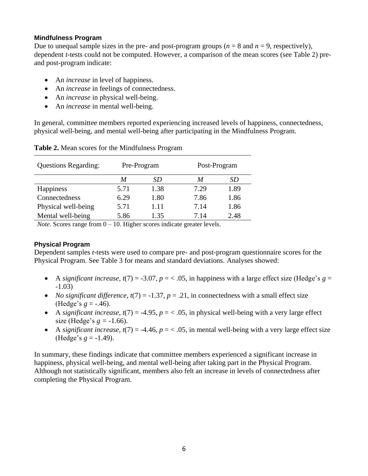#### **Mindfulness Program**

Due to unequal sample sizes in the pre- and post-program groups ( $n = 8$  and  $n = 9$ , respectively), dependent *t*-tests could not be computed. However, a comparison of the mean scores (see Table 2) preand post-program indicate:

- An *increase* in level of happiness.
- An *increase* in feelings of connectedness.
- An *increase* in physical well-being.
- An *increase* in mental well-being.

In general, committee members reported experiencing increased levels of happiness, connectedness, physical well-being, and mental well-being after participating in the Mindfulness Program.

| <b>Questions Regarding:</b> |      | Pre-Program | Post-Program |      |  |
|-----------------------------|------|-------------|--------------|------|--|
|                             | M    | SD          | M            | SD   |  |
| Happiness                   | 5.71 | 1.38        | 7.29         | 1.89 |  |
| Connectedness               | 6.29 | 1.80        | 7.86         | 1.86 |  |
| Physical well-being         | 5.71 | 1.11        | 7.14         | 1.86 |  |
| Mental well-being           | 5.86 | 1.35        | 7.14         | 2.48 |  |

#### **Table 2.** Mean scores for the Mindfulness Program

*Note.* Scores range from  $0 - 10$ . Higher scores indicate greater levels.

#### **Physical Program**

Dependent samples *t*-tests were used to compare pre- and post-program questionnaire scores for the Physical Program. See Table 3 for means and standard deviations. Analyses showed:

- A *significant increase,*  $t(7) = -3.07$ ,  $p = < .05$ , in happiness with a large effect size (Hedge's  $g =$ -1.03)
- *No significant difference,*  $t(7) = -1.37$ ,  $p = .21$ , in connectedness with a small effect size (Hedge's  $g = -0.46$ ).
- A *significant increase, t*(7) = -4.95,  $p = < .05$ , in physical well-being with a very large effect size (Hedge's  $g = -1.66$ ).
- A *significant increase*,  $t(7) = -4.46$ ,  $p = < .05$ , in mental well-being with a very large effect size (Hedge's  $g = -1.49$ ).

In summary, these findings indicate that committee members experienced a significant increase in happiness, physical well-being, and mental well-being after taking part in the Physical Program. Although not statistically significant, members also felt an increase in levels of connectedness after completing the Physical Program.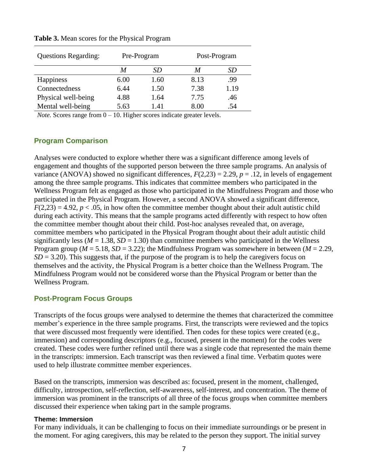| <b>Questions Regarding:</b> |      | Pre-Program | Post-Program |      |  |
|-----------------------------|------|-------------|--------------|------|--|
|                             | M    | SD          | M            | SD   |  |
| Happiness                   | 6.00 | 1.60        | 8.13         | .99  |  |
| Connectedness               | 6.44 | 1.50        | 7.38         | 1.19 |  |
| Physical well-being         | 4.88 | 1.64        | 7.75         | .46  |  |
| Mental well-being           | 5.63 | 1.41        | 8.00         | .54  |  |

**Table 3.** Mean scores for the Physical Program

*Note.* Scores range from  $0 - 10$ . Higher scores indicate greater levels.

#### **Program Comparison**

Analyses were conducted to explore whether there was a significant difference among levels of engagement and thoughts of the supported person between the three sample programs. An analysis of variance (ANOVA) showed no significant differences,  $F(2,23) = 2.29$ ,  $p = .12$ , in levels of engagement among the three sample programs. This indicates that committee members who participated in the Wellness Program felt as engaged as those who participated in the Mindfulness Program and those who participated in the Physical Program. However, a second ANOVA showed a significant difference,  $F(2,23) = 4.92$ ,  $p < 0.05$ , in how often the committee member thought about their adult autistic child during each activity. This means that the sample programs acted differently with respect to how often the committee member thought about their child. Post-hoc analyses revealed that, on average, committee members who participated in the Physical Program thought about their adult autistic child significantly less ( $M = 1.38$ ,  $SD = 1.30$ ) than committee members who participated in the Wellness Program group ( $M = 5.18$ ,  $SD = 3.22$ ); the Mindfulness Program was somewhere in between ( $M = 2.29$ ,  $SD = 3.20$ ). This suggests that, if the purpose of the program is to help the caregivers focus on themselves and the activity, the Physical Program is a better choice than the Wellness Program. The Mindfulness Program would not be considered worse than the Physical Program or better than the Wellness Program.

#### **Post-Program Focus Groups**

Transcripts of the focus groups were analysed to determine the themes that characterized the committee member's experience in the three sample programs. First, the transcripts were reviewed and the topics that were discussed most frequently were identified. Then codes for these topics were created (e.g., immersion) and corresponding descriptors (e.g., focused, present in the moment) for the codes were created. These codes were further refined until there was a single code that represented the main theme in the transcripts: immersion. Each transcript was then reviewed a final time. Verbatim quotes were used to help illustrate committee member experiences.

Based on the transcripts, immersion was described as: focused, present in the moment, challenged, difficulty, introspection, self-reflection, self-awareness, self-interest, and concentration. The theme of immersion was prominent in the transcripts of all three of the focus groups when committee members discussed their experience when taking part in the sample programs.

#### **Theme: Immersion**

For many individuals, it can be challenging to focus on their immediate surroundings or be present in the moment. For aging caregivers, this may be related to the person they support. The initial survey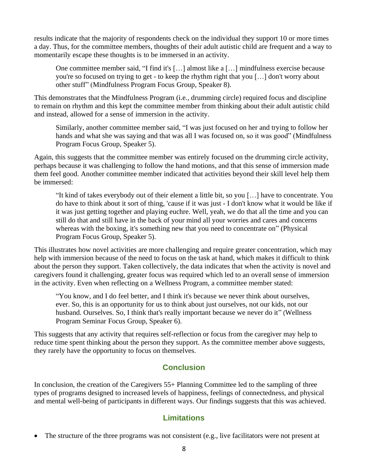results indicate that the majority of respondents check on the individual they support 10 or more times a day. Thus, for the committee members, thoughts of their adult autistic child are frequent and a way to momentarily escape these thoughts is to be immersed in an activity.

One committee member said, "I find it's […] almost like a […] mindfulness exercise because you're so focused on trying to get - to keep the rhythm right that you […] don't worry about other stuff" (Mindfulness Program Focus Group, Speaker 8).

This demonstrates that the Mindfulness Program (i.e., drumming circle) required focus and discipline to remain on rhythm and this kept the committee member from thinking about their adult autistic child and instead, allowed for a sense of immersion in the activity.

Similarly, another committee member said, "I was just focused on her and trying to follow her hands and what she was saying and that was all I was focused on, so it was good" (Mindfulness Program Focus Group, Speaker 5).

Again, this suggests that the committee member was entirely focused on the drumming circle activity, perhaps because it was challenging to follow the hand motions, and that this sense of immersion made them feel good. Another committee member indicated that activities beyond their skill level help them be immersed:

"It kind of takes everybody out of their element a little bit, so you […] have to concentrate. You do have to think about it sort of thing, 'cause if it was just - I don't know what it would be like if it was just getting together and playing euchre. Well, yeah, we do that all the time and you can still do that and still have in the back of your mind all your worries and cares and concerns whereas with the boxing, it's something new that you need to concentrate on" (Physical Program Focus Group, Speaker 5).

This illustrates how novel activities are more challenging and require greater concentration, which may help with immersion because of the need to focus on the task at hand, which makes it difficult to think about the person they support. Taken collectively, the data indicates that when the activity is novel and caregivers found it challenging, greater focus was required which led to an overall sense of immersion in the activity. Even when reflecting on a Wellness Program, a committee member stated:

"You know, and I do feel better, and I think it's because we never think about ourselves, ever. So, this is an opportunity for us to think about just ourselves, not our kids, not our husband. Ourselves. So, I think that's really important because we never do it" (Wellness Program Seminar Focus Group, Speaker 6).

This suggests that any activity that requires self-reflection or focus from the caregiver may help to reduce time spent thinking about the person they support. As the committee member above suggests, they rarely have the opportunity to focus on themselves.

## **Conclusion**

In conclusion, the creation of the Caregivers 55+ Planning Committee led to the sampling of three types of programs designed to increased levels of happiness, feelings of connectedness, and physical and mental well-being of participants in different ways. Our findings suggests that this was achieved.

## **Limitations**

• The structure of the three programs was not consistent (e.g., live facilitators were not present at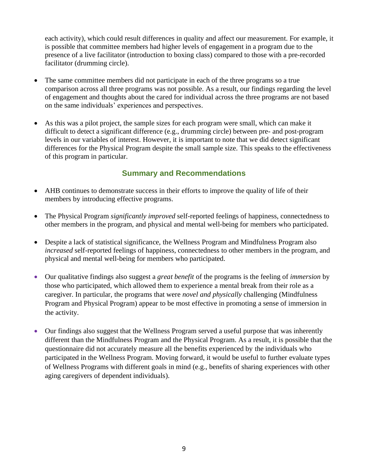each activity), which could result differences in quality and affect our measurement. For example, it is possible that committee members had higher levels of engagement in a program due to the presence of a live facilitator (introduction to boxing class) compared to those with a pre-recorded facilitator (drumming circle).

- The same committee members did not participate in each of the three programs so a true comparison across all three programs was not possible. As a result, our findings regarding the level of engagement and thoughts about the cared for individual across the three programs are not based on the same individuals' experiences and perspectives.
- As this was a pilot project, the sample sizes for each program were small, which can make it difficult to detect a significant difference (e.g., drumming circle) between pre- and post-program levels in our variables of interest. However, it is important to note that we did detect significant differences for the Physical Program despite the small sample size. This speaks to the effectiveness of this program in particular.

## **Summary and Recommendations**

- AHB continues to demonstrate success in their efforts to improve the quality of life of their members by introducing effective programs.
- The Physical Program *significantly improved* self-reported feelings of happiness, connectedness to other members in the program, and physical and mental well-being for members who participated.
- Despite a lack of statistical significance, the Wellness Program and Mindfulness Program also *increased* self-reported feelings of happiness, connectedness to other members in the program, and physical and mental well-being for members who participated.
- Our qualitative findings also suggest a *great benefit* of the programs is the feeling of *immersion* by those who participated, which allowed them to experience a mental break from their role as a caregiver. In particular, the programs that were *novel and physically* challenging (Mindfulness Program and Physical Program) appear to be most effective in promoting a sense of immersion in the activity.
- Our findings also suggest that the Wellness Program served a useful purpose that was inherently different than the Mindfulness Program and the Physical Program. As a result, it is possible that the questionnaire did not accurately measure all the benefits experienced by the individuals who participated in the Wellness Program. Moving forward, it would be useful to further evaluate types of Wellness Programs with different goals in mind (e.g., benefits of sharing experiences with other aging caregivers of dependent individuals).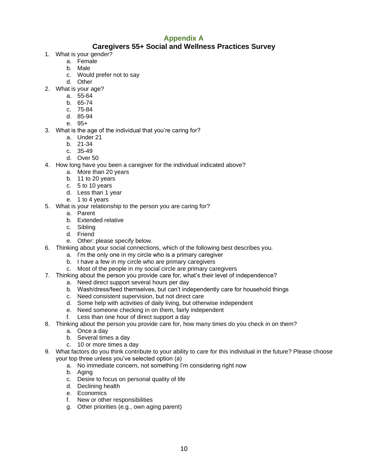## **Appendix A**

#### **Caregivers 55+ Social and Wellness Practices Survey**

- 1. What is your gender?
	- a. Female
	- b. Male
	- c. Would prefer not to say
	- d. Other
- 2. What is your age?
	- a. 55-64
	- b. 65-74
	- c. 75-84
	- d. 85-94
	- e. 95+
- 3. What is the age of the individual that you're caring for?
	- a. Under 21
	- b. 21-34
	- c. 35-49
	- d. Over 50
- 4. How long have you been a caregiver for the individual indicated above?
	- a. More than 20 years
	- b. 11 to 20 years
	- c. 5 to 10 years
	- d. Less than 1 year
	- e. 1 to 4 years
- 5. What is your relationship to the person you are caring for?
	- a. Parent
	- b. Extended relative
	- c. Sibling
	- d. Friend
	- e. Other: please specify below.
- 6. Thinking about your social connections, which of the following best describes you.
	- a. I'm the only one in my circle who is a primary caregiver
	- b. I have a few in my circle who are primary caregivers
	- c. Most of the people in my social circle are primary caregivers
- 7. Thinking about the person you provide care for, what's their level of independence?
	- a. Need direct support several hours per day
	- b. Wash/dress/feed themselves, but can't independently care for household things
	- c. Need consistent supervision, but not direct care
	- d. Some help with activities of daily living, but otherwise independent
	- e. Need someone checking in on them, fairly independent
	- f. Less than one hour of direct support a day
- 8. Thinking about the person you provide care for, how many times do you check in on them?
	- a. Once a day
	- b. Several times a day
	- c. 10 or more times a day
- 9. What factors do you think contribute to your ability to care for this individual in the future? Please choose your top three unless you've selected option (a)
	- a. No immediate concern, not something I'm considering right now
	- b. Aging
	- c. Desire to focus on personal quality of life
	- d. Declining health
	- e. Economics
	- f. New or other responsibilities
	- g. Other priorities (e.g., own aging parent)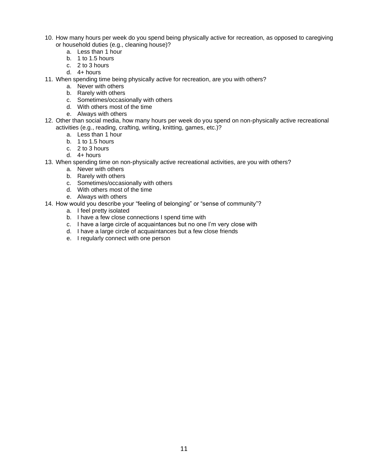- 10. How many hours per week do you spend being physically active for recreation, as opposed to caregiving or household duties (e.g., cleaning house)?
	- a. Less than 1 hour
	- b. 1 to 1.5 hours
	- c. 2 to 3 hours
	- d. 4+ hours
- 11. When spending time being physically active for recreation, are you with others?
	- a. Never with others
	- b. Rarely with others
	- c. Sometimes/occasionally with others
	- d. With others most of the time
	- e. Always with others
- 12. Other than social media, how many hours per week do you spend on non-physically active recreational activities (e.g., reading, crafting, writing, knitting, games, etc.)?
	- a. Less than 1 hour
	- b. 1 to 1.5 hours
	- c. 2 to 3 hours
	- d. 4+ hours
- 13. When spending time on non-physically active recreational activities, are you with others?
	- a. Never with others
	- b. Rarely with others
	- c. Sometimes/occasionally with others
	- d. With others most of the time
	- e. Always with others
- 14. How would you describe your "feeling of belonging" or "sense of community"?
	- a. I feel pretty isolated
	- b. I have a few close connections I spend time with
	- c. I have a large circle of acquaintances but no one I'm very close with
	- d. I have a large circle of acquaintances but a few close friends
	- e. I regularly connect with one person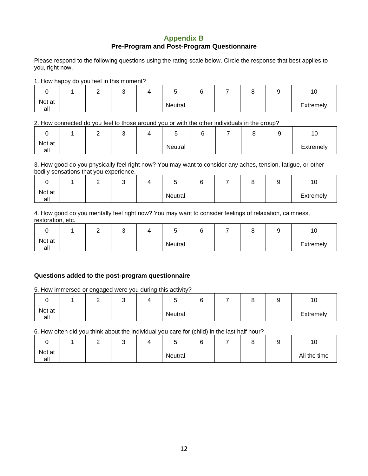#### **Appendix B Pre-Program and Post-Program Questionnaire**

Please respond to the following questions using the rating scale below. Circle the response that best applies to you, right now.

1. How happy do you feel in this moment?

|               | - | -<br>ັ |         |  | ∼ | 10             |
|---------------|---|--------|---------|--|---|----------------|
| Not at<br>all |   |        | Neutral |  |   | -<br>Extremely |

2. How connected do you feel to those around you or with the other individuals in the group?

|               |  | ັ | -<br>J  | $\sim$<br>. . | ∼ | ×. | 10        |
|---------------|--|---|---------|---------------|---|----|-----------|
| Not at<br>all |  |   | Neutral |               |   |    | Extremely |

3. How good do you physically feel right now? You may want to consider any aches, tension, fatigue, or other bodily sensations that you experience.

|               | - | ີ |         | ⌒ | ∼ | 10        |
|---------------|---|---|---------|---|---|-----------|
| Not at<br>all |   |   | Neutral |   |   | Extremely |

4. How good do you mentally feel right now? You may want to consider feelings of relaxation, calmness, restoration, etc.

|               |  | ັ |         |  |  | ιv        |
|---------------|--|---|---------|--|--|-----------|
| Not at<br>all |  |   | Neutral |  |  | Extremely |

#### **Questions added to the post-program questionnaire**

5. How immersed or engaged were you during this activity?

|               |  | ັ |         |  | ∼ | ∼ | 10                  |
|---------------|--|---|---------|--|---|---|---------------------|
| Not at<br>all |  |   | Neutral |  |   |   | $\epsilon$ xtremely |

6. How often did you think about the individual you care for (child) in the last half hour?

|               |  | ີ |         | ⌒ | ۰. | ۰. | 10           |
|---------------|--|---|---------|---|----|----|--------------|
| Not at<br>all |  |   | Neutral |   |    |    | All the time |